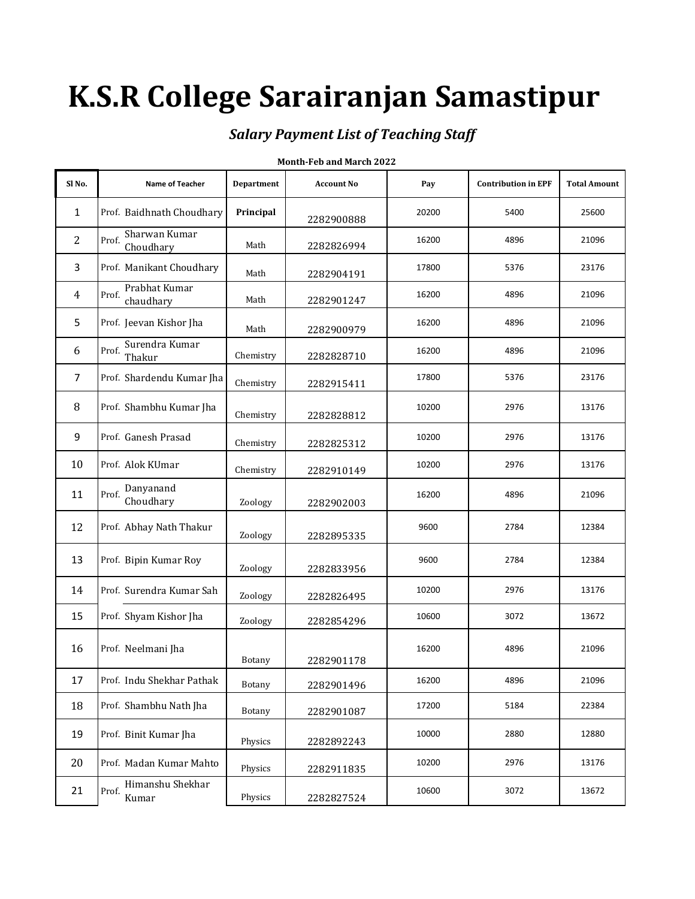# **K.S.R College Sarairanjan Samastipur**

### *Salary Payment List of Teaching Staff*

| Sl No.         | Name of Teacher                     | <b>Department</b> | <b>Account No</b> | Pay   | <b>Contribution in EPF</b> | <b>Total Amount</b> |
|----------------|-------------------------------------|-------------------|-------------------|-------|----------------------------|---------------------|
| $\mathbf{1}$   | Prof. Baidhnath Choudhary           | Principal         | 2282900888        | 20200 | 5400                       | 25600               |
| $\overline{2}$ | Sharwan Kumar<br>Prof.<br>Choudhary | Math              | 2282826994        | 16200 | 4896                       | 21096               |
| 3              | Prof. Manikant Choudhary            | Math              | 2282904191        | 17800 | 5376                       | 23176               |
| $\overline{4}$ | Prabhat Kumar<br>Prof.<br>chaudhary | Math              | 2282901247        | 16200 | 4896                       | 21096               |
| 5              | Prof. Jeevan Kishor Jha             | Math              | 2282900979        | 16200 | 4896                       | 21096               |
| 6              | Surendra Kumar<br>Prof.<br>Thakur   | Chemistry         | 2282828710        | 16200 | 4896                       | 21096               |
| 7              | Prof. Shardendu Kumar Jha           | Chemistry         | 2282915411        | 17800 | 5376                       | 23176               |
| 8              | Prof. Shambhu Kumar Jha             | Chemistry         | 2282828812        | 10200 | 2976                       | 13176               |
| 9              | Prof. Ganesh Prasad                 | Chemistry         | 2282825312        | 10200 | 2976                       | 13176               |
| 10             | Prof. Alok KUmar                    | Chemistry         | 2282910149        | 10200 | 2976                       | 13176               |
| 11             | Danyanand<br>Prof.<br>Choudhary     | Zoology           | 2282902003        | 16200 | 4896                       | 21096               |
| 12             | Prof. Abhay Nath Thakur             | Zoology           | 2282895335        | 9600  | 2784                       | 12384               |
| 13             | Prof. Bipin Kumar Roy               | Zoology           | 2282833956        | 9600  | 2784                       | 12384               |
| 14             | Prof. Surendra Kumar Sah            | Zoology           | 2282826495        | 10200 | 2976                       | 13176               |
| 15             | Prof. Shyam Kishor Jha              | Zoology           | 2282854296        | 10600 | 3072                       | 13672               |
| 16             | Prof. Neelmani Jha                  | Botany            | 2282901178        | 16200 | 4896                       | 21096               |
| 17             | Prof. Indu Shekhar Pathak           | Botany            | 2282901496        | 16200 | 4896                       | 21096               |
| 18             | Prof. Shambhu Nath Jha              | Botany            | 2282901087        | 17200 | 5184                       | 22384               |
| 19             | Prof. Binit Kumar Jha               | Physics           | 2282892243        | 10000 | 2880                       | 12880               |
| 20             | Prof. Madan Kumar Mahto             | Physics           | 2282911835        | 10200 | 2976                       | 13176               |
| 21             | Himanshu Shekhar<br>Prof.<br>Kumar  | Physics           | 2282827524        | 10600 | 3072                       | 13672               |

#### **Month-Feb and March 2022**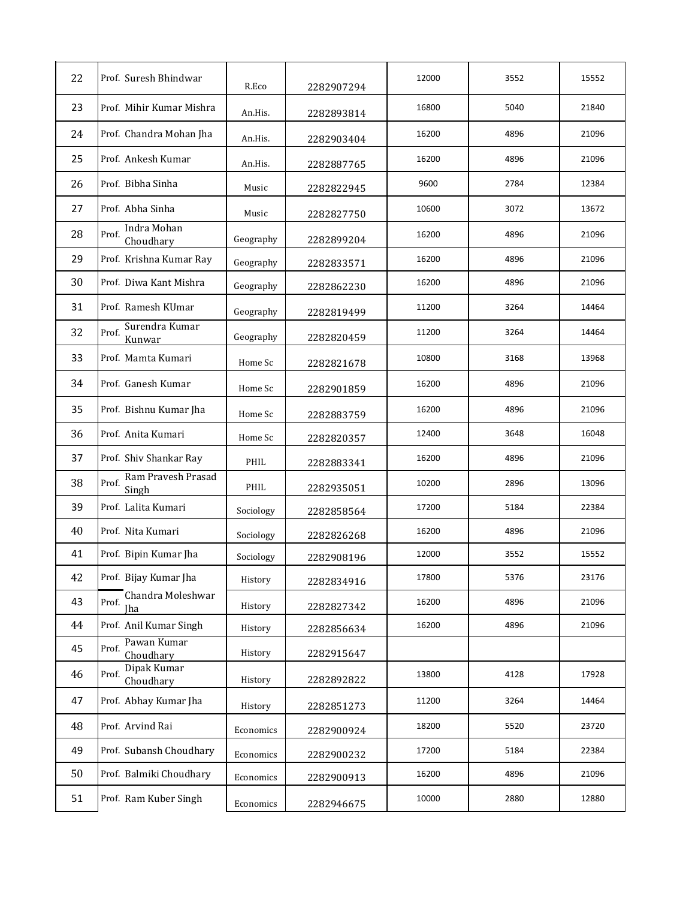| 22 | Prof. Suresh Bhindwar                | R.Eco     | 2282907294 | 12000 | 3552 | 15552 |
|----|--------------------------------------|-----------|------------|-------|------|-------|
| 23 | Prof. Mihir Kumar Mishra             | An.His.   | 2282893814 | 16800 | 5040 | 21840 |
| 24 | Prof. Chandra Mohan Jha              | An.His.   | 2282903404 | 16200 | 4896 | 21096 |
| 25 | Prof. Ankesh Kumar                   | An.His.   | 2282887765 | 16200 | 4896 | 21096 |
| 26 | Prof. Bibha Sinha                    | Music     | 2282822945 | 9600  | 2784 | 12384 |
| 27 | Prof. Abha Sinha                     | Music     | 2282827750 | 10600 | 3072 | 13672 |
| 28 | Indra Mohan<br>Prof.<br>Choudhary    | Geography | 2282899204 | 16200 | 4896 | 21096 |
| 29 | Prof. Krishna Kumar Ray              | Geography | 2282833571 | 16200 | 4896 | 21096 |
| 30 | Prof. Diwa Kant Mishra               | Geography | 2282862230 | 16200 | 4896 | 21096 |
| 31 | Prof. Ramesh KUmar                   | Geography | 2282819499 | 11200 | 3264 | 14464 |
| 32 | Surendra Kumar<br>Prof.<br>Kunwar    | Geography | 2282820459 | 11200 | 3264 | 14464 |
| 33 | Prof. Mamta Kumari                   | Home Sc   | 2282821678 | 10800 | 3168 | 13968 |
| 34 | Prof. Ganesh Kumar                   | Home Sc   | 2282901859 | 16200 | 4896 | 21096 |
| 35 | Prof. Bishnu Kumar Jha               | Home Sc   | 2282883759 | 16200 | 4896 | 21096 |
| 36 | Prof. Anita Kumari                   | Home Sc   | 2282820357 | 12400 | 3648 | 16048 |
| 37 | Prof. Shiv Shankar Ray               | PHIL      | 2282883341 | 16200 | 4896 | 21096 |
| 38 | Ram Pravesh Prasad<br>Prof.<br>Singh | PHIL      | 2282935051 | 10200 | 2896 | 13096 |
| 39 | Prof. Lalita Kumari                  | Sociology | 2282858564 | 17200 | 5184 | 22384 |
| 40 | Prof. Nita Kumari                    | Sociology | 2282826268 | 16200 | 4896 | 21096 |
| 41 | Prof. Bipin Kumar Jha                | Sociology | 2282908196 | 12000 | 3552 | 15552 |
| 42 | Prof. Bijay Kumar Jha                | History   | 2282834916 | 17800 | 5376 | 23176 |
| 43 | Chandra Moleshwar<br>Prof.<br>Iha    | History   | 2282827342 | 16200 | 4896 | 21096 |
| 44 | Prof. Anil Kumar Singh               | History   | 2282856634 | 16200 | 4896 | 21096 |
| 45 | Pawan Kumar<br>Prof.<br>Choudhary    | History   | 2282915647 |       |      |       |
| 46 | Dipak Kumar<br>Prof.<br>Choudhary    | History   | 2282892822 | 13800 | 4128 | 17928 |
| 47 | Prof. Abhay Kumar Jha                | History   | 2282851273 | 11200 | 3264 | 14464 |
| 48 | Prof. Arvind Rai                     | Economics | 2282900924 | 18200 | 5520 | 23720 |
| 49 | Prof. Subansh Choudhary              | Economics | 2282900232 | 17200 | 5184 | 22384 |
| 50 | Prof. Balmiki Choudhary              | Economics | 2282900913 | 16200 | 4896 | 21096 |
| 51 | Prof. Ram Kuber Singh                | Economics | 2282946675 | 10000 | 2880 | 12880 |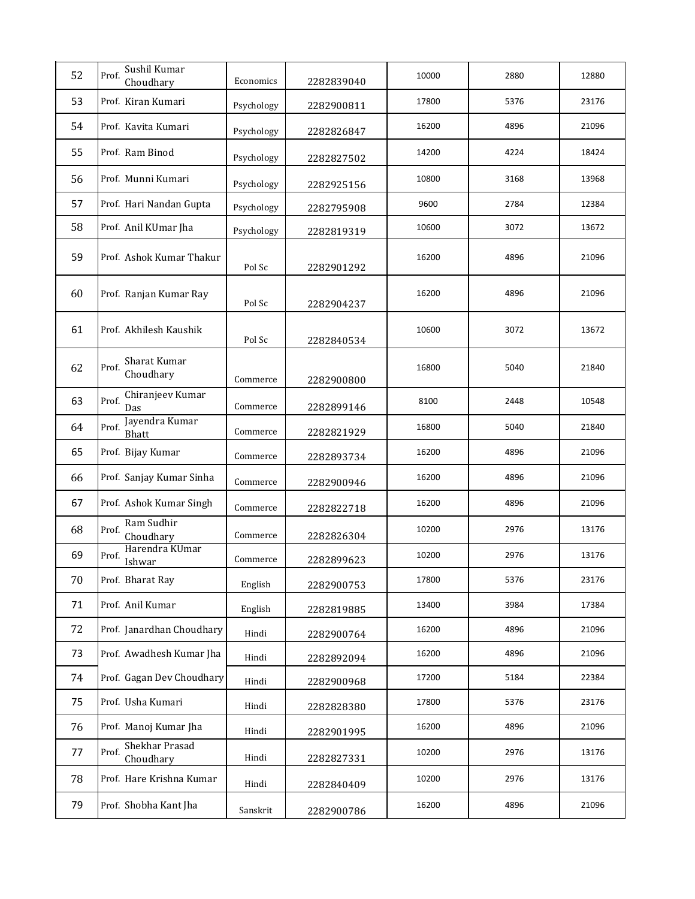| 52 | Sushil Kumar<br>Prof.<br>Choudhary   | Economics  | 2282839040 | 10000 | 2880 | 12880 |
|----|--------------------------------------|------------|------------|-------|------|-------|
| 53 | Prof. Kiran Kumari                   | Psychology | 2282900811 | 17800 | 5376 | 23176 |
| 54 | Prof. Kavita Kumari                  | Psychology | 2282826847 | 16200 | 4896 | 21096 |
| 55 | Prof. Ram Binod                      | Psychology | 2282827502 | 14200 | 4224 | 18424 |
| 56 | Prof. Munni Kumari                   | Psychology | 2282925156 | 10800 | 3168 | 13968 |
| 57 | Prof. Hari Nandan Gupta              | Psychology | 2282795908 | 9600  | 2784 | 12384 |
| 58 | Prof. Anil KUmar Jha                 | Psychology | 2282819319 | 10600 | 3072 | 13672 |
| 59 | Prof. Ashok Kumar Thakur             | Pol Sc     | 2282901292 | 16200 | 4896 | 21096 |
| 60 | Prof. Ranjan Kumar Ray               | Pol Sc     | 2282904237 | 16200 | 4896 | 21096 |
| 61 | Prof. Akhilesh Kaushik               | Pol Sc     | 2282840534 | 10600 | 3072 | 13672 |
| 62 | Sharat Kumar<br>Prof.<br>Choudhary   | Commerce   | 2282900800 | 16800 | 5040 | 21840 |
| 63 | Chiranjeev Kumar<br>Prof.<br>Das     | Commerce   | 2282899146 | 8100  | 2448 | 10548 |
| 64 | Jayendra Kumar<br>Prof.<br>Bhatt     | Commerce   | 2282821929 | 16800 | 5040 | 21840 |
| 65 | Prof. Bijay Kumar                    | Commerce   | 2282893734 | 16200 | 4896 | 21096 |
| 66 | Prof. Sanjay Kumar Sinha             | Commerce   | 2282900946 | 16200 | 4896 | 21096 |
| 67 | Prof. Ashok Kumar Singh              | Commerce   | 2282822718 | 16200 | 4896 | 21096 |
| 68 | Ram Sudhir<br>Prof.<br>Choudhary     | Commerce   | 2282826304 | 10200 | 2976 | 13176 |
| 69 | Harendra KUmar<br>Prof.<br>Ishwar    | Commerce   | 2282899623 | 10200 | 2976 | 13176 |
| 70 | Prof. Bharat Ray                     | English    | 2282900753 | 17800 | 5376 | 23176 |
| 71 | Prof. Anil Kumar                     | English    | 2282819885 | 13400 | 3984 | 17384 |
| 72 | Prof. Janardhan Choudhary            | Hindi      | 2282900764 | 16200 | 4896 | 21096 |
| 73 | Prof. Awadhesh Kumar Jha             | Hindi      | 2282892094 | 16200 | 4896 | 21096 |
| 74 | Prof. Gagan Dev Choudhary            | Hindi      | 2282900968 | 17200 | 5184 | 22384 |
| 75 | Prof. Usha Kumari                    | Hindi      | 2282828380 | 17800 | 5376 | 23176 |
| 76 | Prof. Manoj Kumar Jha                | Hindi      | 2282901995 | 16200 | 4896 | 21096 |
| 77 | Shekhar Prasad<br>Prof.<br>Choudhary | Hindi      | 2282827331 | 10200 | 2976 | 13176 |
| 78 | Prof. Hare Krishna Kumar             | Hindi      | 2282840409 | 10200 | 2976 | 13176 |
| 79 | Prof. Shobha Kant Jha                | Sanskrit   | 2282900786 | 16200 | 4896 | 21096 |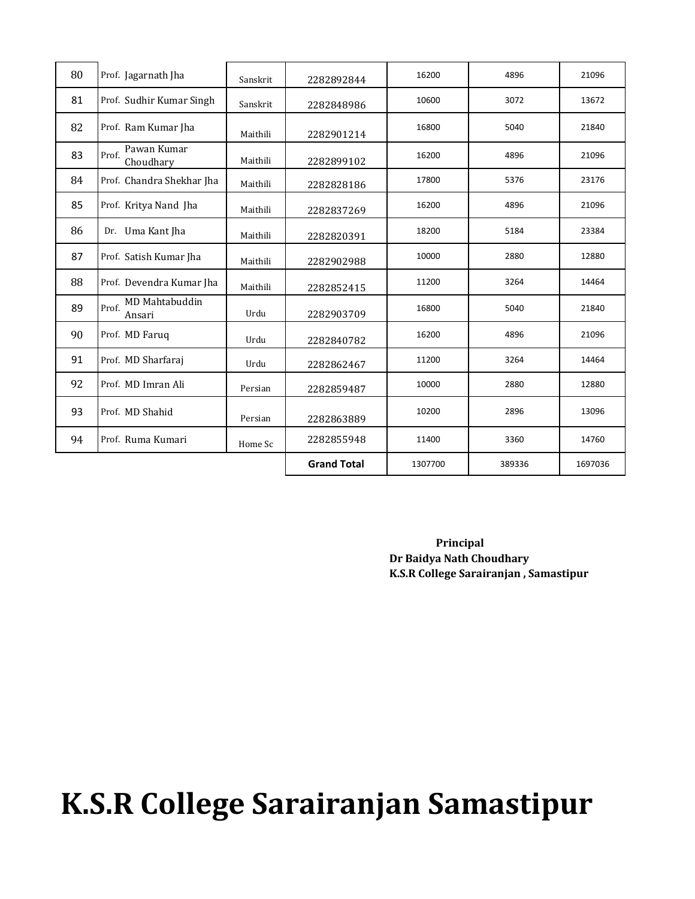| 80 | Prof. Jagarnath Jha                      | Sanskrit | 2282892844         | 16200   | 4896   | 21096   |
|----|------------------------------------------|----------|--------------------|---------|--------|---------|
| 81 | Prof. Sudhir Kumar Singh                 | Sanskrit | 2282848986         | 10600   | 3072   | 13672   |
| 82 | Prof. Ram Kumar Jha                      | Maithili | 2282901214         | 16800   | 5040   | 21840   |
| 83 | Pawan Kumar<br>Prof.<br>Choudhary        | Maithili | 2282899102         | 16200   | 4896   | 21096   |
| 84 | Prof. Chandra Shekhar Jha                | Maithili | 2282828186         | 17800   | 5376   | 23176   |
| 85 | Prof. Kritya Nand Jha                    | Maithili | 2282837269         | 16200   | 4896   | 21096   |
| 86 | Dr. Uma Kant Jha                         | Maithili | 2282820391         | 18200   | 5184   | 23384   |
| 87 | Prof. Satish Kumar Jha                   | Maithili | 2282902988         | 10000   | 2880   | 12880   |
| 88 | Prof. Devendra Kumar Jha                 | Maithili | 2282852415         | 11200   | 3264   | 14464   |
| 89 | <b>MD Mahtabuddin</b><br>Prof.<br>Ansari | Urdu     | 2282903709         | 16800   | 5040   | 21840   |
| 90 | Prof. MD Faruq                           | Urdu     | 2282840782         | 16200   | 4896   | 21096   |
| 91 | Prof. MD Sharfaraj                       | Urdu     | 2282862467         | 11200   | 3264   | 14464   |
| 92 | Prof. MD Imran Ali                       | Persian  | 2282859487         | 10000   | 2880   | 12880   |
| 93 | Prof. MD Shahid                          | Persian  | 2282863889         | 10200   | 2896   | 13096   |
| 94 | Prof. Ruma Kumari                        | Home Sc  | 2282855948         | 11400   | 3360   | 14760   |
|    |                                          |          | <b>Grand Total</b> | 1307700 | 389336 | 1697036 |

 **Principal Dr Baidya Nath Choudhary K.S.R College Sarairanjan , Samastipur**

## **K.S.R College Sarairanjan Samastipur**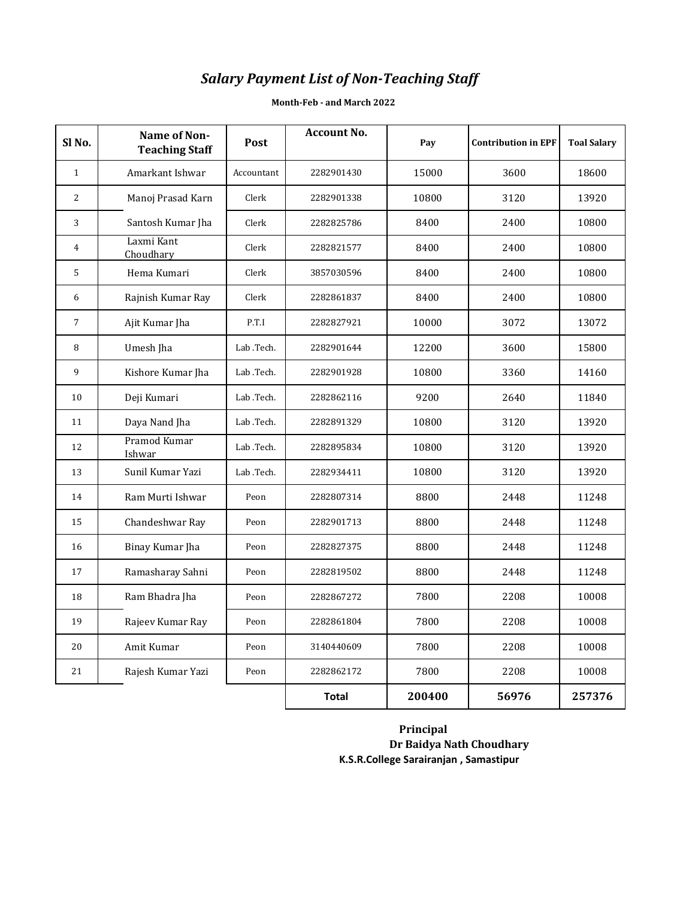## *Salary Payment List of Non-Teaching Staff*

| Sl <sub>No.</sub> | Name of Non-<br><b>Teaching Staff</b> | Post       | <b>Account No.</b> | Pay    | <b>Contribution in EPF</b> | <b>Toal Salary</b> |
|-------------------|---------------------------------------|------------|--------------------|--------|----------------------------|--------------------|
| $\mathbf{1}$      | Amarkant Ishwar                       | Accountant | 2282901430         | 15000  | 3600                       | 18600              |
| $\overline{c}$    | Manoj Prasad Karn                     | Clerk      | 2282901338         | 10800  | 3120                       | 13920              |
| 3                 | Santosh Kumar Jha                     | Clerk      | 2282825786         | 8400   | 2400                       | 10800              |
| $\overline{4}$    | Laxmi Kant<br>Choudhary               | Clerk      | 2282821577         | 8400   | 2400                       | 10800              |
| 5                 | Hema Kumari                           | Clerk      | 3857030596         | 8400   | 2400                       | 10800              |
| 6                 | Rajnish Kumar Ray                     | Clerk      | 2282861837         | 8400   | 2400                       | 10800              |
| $\overline{7}$    | Ajit Kumar Jha                        | P.T.I      | 2282827921         | 10000  | 3072                       | 13072              |
| 8                 | Umesh Jha                             | Lab .Tech. | 2282901644         | 12200  | 3600                       | 15800              |
| 9                 | Kishore Kumar Jha                     | Lab .Tech. | 2282901928         | 10800  | 3360                       | 14160              |
| 10                | Deji Kumari                           | Lab .Tech. | 2282862116         | 9200   | 2640                       | 11840              |
| 11                | Daya Nand Jha                         | Lab .Tech. | 2282891329         | 10800  | 3120                       | 13920              |
| 12                | Pramod Kumar<br>Ishwar                | Lab .Tech. | 2282895834         | 10800  | 3120                       | 13920              |
| 13                | Sunil Kumar Yazi                      | Lab .Tech. | 2282934411         | 10800  | 3120                       | 13920              |
| 14                | Ram Murti Ishwar                      | Peon       | 2282807314         | 8800   | 2448                       | 11248              |
| 15                | Chandeshwar Ray                       | Peon       | 2282901713         | 8800   | 2448                       | 11248              |
| 16                | Binay Kumar Jha                       | Peon       | 2282827375         | 8800   | 2448                       | 11248              |
| 17                | Ramasharay Sahni                      | Peon       | 2282819502         | 8800   | 2448                       | 11248              |
| 18                | Ram Bhadra Jha                        | Peon       | 2282867272         | 7800   | 2208                       | 10008              |
| 19                | Rajeev Kumar Ray                      | Peon       | 2282861804         | 7800   | 2208                       | 10008              |
| 20                | Amit Kumar                            | Peon       | 3140440609         | 7800   | 2208                       | 10008              |
| 21                | Rajesh Kumar Yazi                     | Peon       | 2282862172         | 7800   | 2208                       | 10008              |
|                   |                                       |            | <b>Total</b>       | 200400 | 56976                      | 257376             |

#### **Month-Feb - and March 2022**

 **Principal Dr Baidya Nath Choudhary K.S.R.College Sarairanjan , Samastipur**